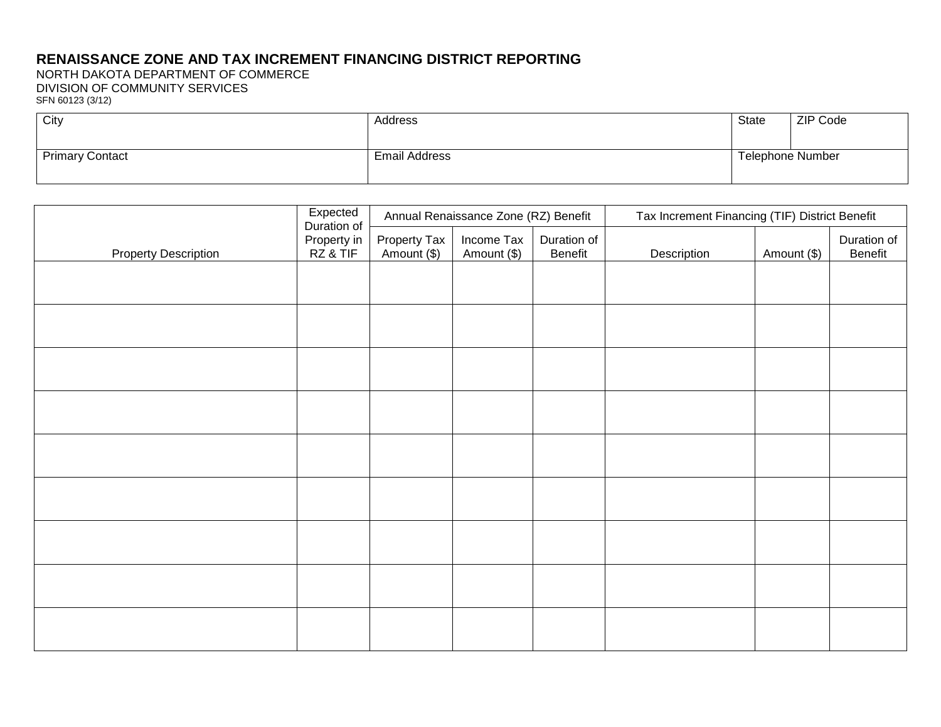## **RENAISSANCE ZONE AND TAX INCREMENT FINANCING DISTRICT REPORTING**

NORTH DAKOTA DEPARTMENT OF COMMERCE DIVISION OF COMMUNITY SERVICES SFN 60123 (3/12)

| City                   | Address              | State                   | ZIP Code |
|------------------------|----------------------|-------------------------|----------|
|                        |                      |                         |          |
| <b>Primary Contact</b> | <b>Email Address</b> | <b>Telephone Number</b> |          |
|                        |                      |                         |          |

| <b>Property Description</b> | Expected<br>Duration of | Annual Renaissance Zone (RZ) Benefit |                           |                        | Tax Increment Financing (TIF) District Benefit |             |                        |  |
|-----------------------------|-------------------------|--------------------------------------|---------------------------|------------------------|------------------------------------------------|-------------|------------------------|--|
|                             | Property in<br>RZ & TIF | Property Tax<br>Amount (\$)          | Income Tax<br>Amount (\$) | Duration of<br>Benefit | Description                                    | Amount (\$) | Duration of<br>Benefit |  |
|                             |                         |                                      |                           |                        |                                                |             |                        |  |
|                             |                         |                                      |                           |                        |                                                |             |                        |  |
|                             |                         |                                      |                           |                        |                                                |             |                        |  |
|                             |                         |                                      |                           |                        |                                                |             |                        |  |
|                             |                         |                                      |                           |                        |                                                |             |                        |  |
|                             |                         |                                      |                           |                        |                                                |             |                        |  |
|                             |                         |                                      |                           |                        |                                                |             |                        |  |
|                             |                         |                                      |                           |                        |                                                |             |                        |  |
|                             |                         |                                      |                           |                        |                                                |             |                        |  |
|                             |                         |                                      |                           |                        |                                                |             |                        |  |